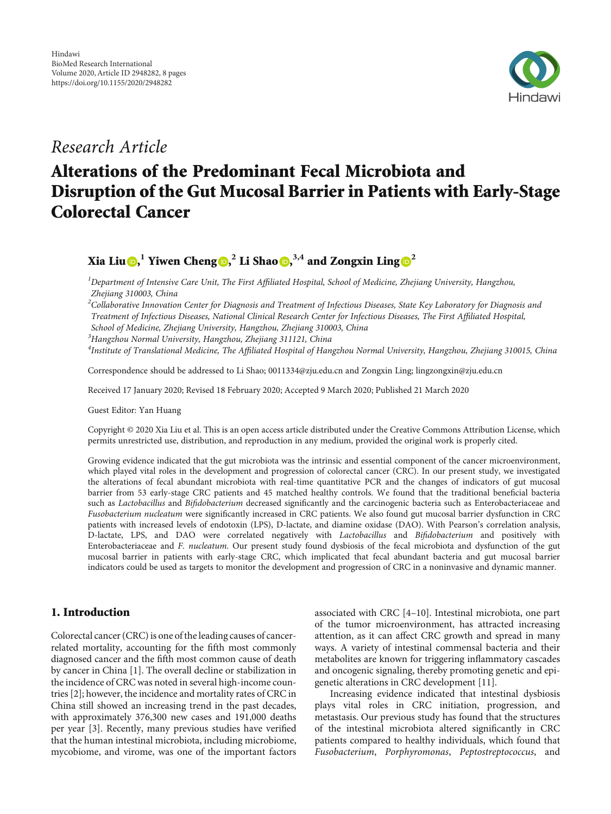

# Research Article

# Alterations of the Predominant Fecal Microbiota and Disruption of the Gut Mucosal Barrier in Patients with Early-Stage Colorectal Cancer

# Xia Liu [,](https://orcid.org/0000-0002-9987-3332) **<sup>1</sup>** Yiwen Cheng , **<sup>2</sup>** Li Shao , **3,4** and Zongxin Ling **[2](https://orcid.org/0000-0001-9662-099X)**

 ${}^{1}$ Department of Intensive Care Unit, The First Affiliated Hospital, School of Medicine, Zhejiang University, Hangzhou, Zhejiang 310003, China

 $^2$ Collaborative Innovation Center for Diagnosis and Treatment of Infectious Diseases, State Key Laboratory for Diagnosis and Treatment of Infectious Diseases, National Clinical Research Center for Infectious Diseases, The First Affiliated Hospital,

School of Medicine, Zhejiang University, Hangzhou, Zhejiang 310003, China

3 Hangzhou Normal University, Hangzhou, Zhejiang 311121, China

<sup>4</sup>Institute of Translational Medicine, The Affiliated Hospital of Hangzhou Normal University, Hangzhou, Zhejiang 310015, China

Correspondence should be addressed to Li Shao; 0011334@zju.edu.cn and Zongxin Ling; lingzongxin@zju.edu.cn

Received 17 January 2020; Revised 18 February 2020; Accepted 9 March 2020; Published 21 March 2020

Guest Editor: Yan Huang

Copyright © 2020 Xia Liu et al. This is an open access article distributed under the [Creative Commons Attribution License](https://creativecommons.org/licenses/by/4.0/), which permits unrestricted use, distribution, and reproduction in any medium, provided the original work is properly cited.

Growing evidence indicated that the gut microbiota was the intrinsic and essential component of the cancer microenvironment, which played vital roles in the development and progression of colorectal cancer (CRC). In our present study, we investigated the alterations of fecal abundant microbiota with real-time quantitative PCR and the changes of indicators of gut mucosal barrier from 53 early-stage CRC patients and 45 matched healthy controls. We found that the traditional beneficial bacteria such as Lactobacillus and Bifidobacterium decreased significantly and the carcinogenic bacteria such as Enterobacteriaceae and Fusobacterium nucleatum were significantly increased in CRC patients. We also found gut mucosal barrier dysfunction in CRC patients with increased levels of endotoxin (LPS), D-lactate, and diamine oxidase (DAO). With Pearson's correlation analysis, D-lactate, LPS, and DAO were correlated negatively with Lactobacillus and Bifidobacterium and positively with Enterobacteriaceae and F. nucleatum. Our present study found dysbiosis of the fecal microbiota and dysfunction of the gut mucosal barrier in patients with early-stage CRC, which implicated that fecal abundant bacteria and gut mucosal barrier indicators could be used as targets to monitor the development and progression of CRC in a noninvasive and dynamic manner.

# 1. Introduction

Colorectal cancer (CRC) is one of the leading causes of cancerrelated mortality, accounting for the fifth most commonly diagnosed cancer and the fifth most common cause of death by cancer in China [[1](#page-6-0)]. The overall decline or stabilization in the incidence of CRC was noted in several high-income countries [\[2](#page-6-0)]; however, the incidence and mortality rates of CRC in China still showed an increasing trend in the past decades, with approximately 376,300 new cases and 191,000 deaths per year [\[3](#page-6-0)]. Recently, many previous studies have verified that the human intestinal microbiota, including microbiome, mycobiome, and virome, was one of the important factors

associated with CRC [[4](#page-6-0)–[10](#page-6-0)]. Intestinal microbiota, one part of the tumor microenvironment, has attracted increasing attention, as it can affect CRC growth and spread in many ways. A variety of intestinal commensal bacteria and their metabolites are known for triggering inflammatory cascades and oncogenic signaling, thereby promoting genetic and epigenetic alterations in CRC development [[11](#page-6-0)].

Increasing evidence indicated that intestinal dysbiosis plays vital roles in CRC initiation, progression, and metastasis. Our previous study has found that the structures of the intestinal microbiota altered significantly in CRC patients compared to healthy individuals, which found that Fusobacterium, Porphyromonas, Peptostreptococcus, and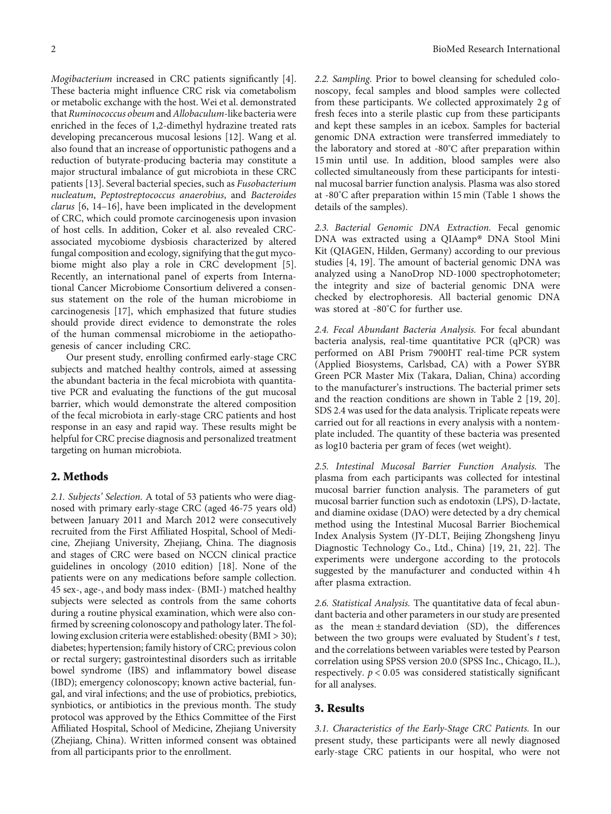Mogibacterium increased in CRC patients significantly [[4](#page-6-0)]. These bacteria might influence CRC risk via cometabolism or metabolic exchange with the host. Wei et al. demonstrated that Ruminococcus obeum and Allobaculum-like bacteria were enriched in the feces of 1,2-dimethyl hydrazine treated rats developing precancerous mucosal lesions [\[12](#page-6-0)]. Wang et al. also found that an increase of opportunistic pathogens and a reduction of butyrate-producing bacteria may constitute a major structural imbalance of gut microbiota in these CRC patients [[13\]](#page-6-0). Several bacterial species, such as Fusobacterium nucleatum, Peptostreptococcus anaerobius, and Bacteroides clarus [\[6, 14](#page-6-0)–[16\]](#page-6-0), have been implicated in the development of CRC, which could promote carcinogenesis upon invasion of host cells. In addition, Coker et al. also revealed CRCassociated mycobiome dysbiosis characterized by altered fungal composition and ecology, signifying that the gut mycobiome might also play a role in CRC development [[5](#page-6-0)]. Recently, an international panel of experts from International Cancer Microbiome Consortium delivered a consensus statement on the role of the human microbiome in carcinogenesis [\[17](#page-6-0)], which emphasized that future studies should provide direct evidence to demonstrate the roles of the human commensal microbiome in the aetiopathogenesis of cancer including CRC.

Our present study, enrolling confirmed early-stage CRC subjects and matched healthy controls, aimed at assessing the abundant bacteria in the fecal microbiota with quantitative PCR and evaluating the functions of the gut mucosal barrier, which would demonstrate the altered composition of the fecal microbiota in early-stage CRC patients and host response in an easy and rapid way. These results might be helpful for CRC precise diagnosis and personalized treatment targeting on human microbiota.

## 2. Methods

2.1. Subjects' Selection. A total of 53 patients who were diagnosed with primary early-stage CRC (aged 46-75 years old) between January 2011 and March 2012 were consecutively recruited from the First Affiliated Hospital, School of Medicine, Zhejiang University, Zhejiang, China. The diagnosis and stages of CRC were based on NCCN clinical practice guidelines in oncology (2010 edition) [[18](#page-6-0)]. None of the patients were on any medications before sample collection. 45 sex-, age-, and body mass index- (BMI-) matched healthy subjects were selected as controls from the same cohorts during a routine physical examination, which were also confirmed by screening colonoscopy and pathology later. The following exclusion criteria were established: obesity (BMI > 30); diabetes; hypertension; family history of CRC; previous colon or rectal surgery; gastrointestinal disorders such as irritable bowel syndrome (IBS) and inflammatory bowel disease (IBD); emergency colonoscopy; known active bacterial, fungal, and viral infections; and the use of probiotics, prebiotics, synbiotics, or antibiotics in the previous month. The study protocol was approved by the Ethics Committee of the First Affiliated Hospital, School of Medicine, Zhejiang University (Zhejiang, China). Written informed consent was obtained from all participants prior to the enrollment.

2.2. Sampling. Prior to bowel cleansing for scheduled colonoscopy, fecal samples and blood samples were collected from these participants. We collected approximately 2 g of fresh feces into a sterile plastic cup from these participants and kept these samples in an icebox. Samples for bacterial genomic DNA extraction were transferred immediately to the laboratory and stored at -80° C after preparation within 15 min until use. In addition, blood samples were also collected simultaneously from these participants for intestinal mucosal barrier function analysis. Plasma was also stored at -80° C after preparation within 15 min (Table [1](#page-2-0) shows the details of the samples).

2.3. Bacterial Genomic DNA Extraction. Fecal genomic DNA was extracted using a QIAamp® DNA Stool Mini Kit (QIAGEN, Hilden, Germany) according to our previous studies [\[4, 19\]](#page-6-0). The amount of bacterial genomic DNA was analyzed using a NanoDrop ND-1000 spectrophotometer; the integrity and size of bacterial genomic DNA were checked by electrophoresis. All bacterial genomic DNA was stored at -80°C for further use.

2.4. Fecal Abundant Bacteria Analysis. For fecal abundant bacteria analysis, real-time quantitative PCR (qPCR) was performed on ABI Prism 7900HT real-time PCR system (Applied Biosystems, Carlsbad, CA) with a Power SYBR Green PCR Master Mix (Takara, Dalian, China) according to the manufacturer's instructions. The bacterial primer sets and the reaction conditions are shown in Table [2](#page-3-0) [\[19](#page-6-0), [20](#page-6-0)]. SDS 2.4 was used for the data analysis. Triplicate repeats were carried out for all reactions in every analysis with a nontemplate included. The quantity of these bacteria was presented as log10 bacteria per gram of feces (wet weight).

2.5. Intestinal Mucosal Barrier Function Analysis. The plasma from each participants was collected for intestinal mucosal barrier function analysis. The parameters of gut mucosal barrier function such as endotoxin (LPS), D-lactate, and diamine oxidase (DAO) were detected by a dry chemical method using the Intestinal Mucosal Barrier Biochemical Index Analysis System (JY-DLT, Beijing Zhongsheng Jinyu Diagnostic Technology Co., Ltd., China) [[19](#page-6-0), [21, 22\]](#page-6-0). The experiments were undergone according to the protocols suggested by the manufacturer and conducted within 4 h after plasma extraction.

2.6. Statistical Analysis. The quantitative data of fecal abundant bacteria and other parameters in our study are presented as the mean  $\pm$  standard deviation (SD), the differences between the two groups were evaluated by Student's *t* test, and the correlations between variables were tested by Pearson correlation using SPSS version 20.0 (SPSS Inc., Chicago, IL.), respectively. *p* < 0*:*05 was considered statistically significant for all analyses.

#### 3. Results

3.1. Characteristics of the Early-Stage CRC Patients. In our present study, these participants were all newly diagnosed early-stage CRC patients in our hospital, who were not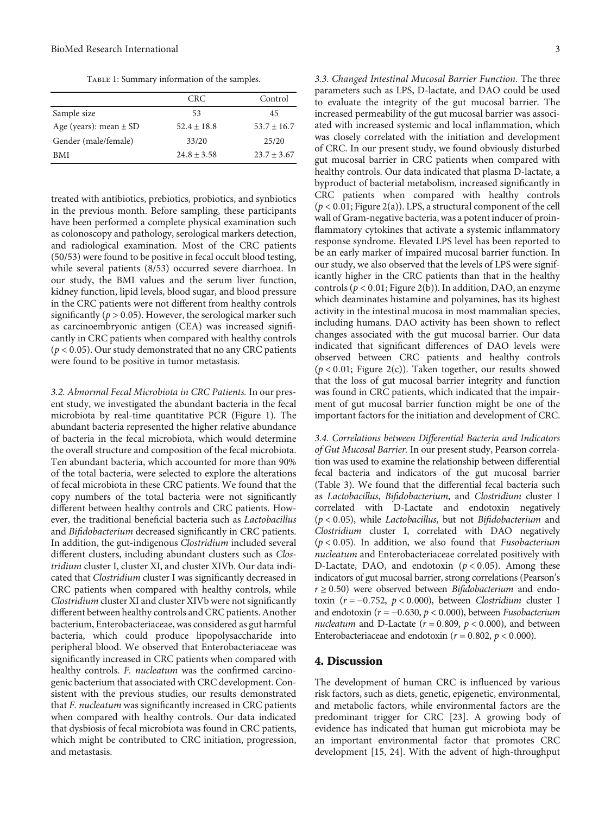TABLE 1: Summary information of the samples.

<span id="page-2-0"></span>

|                            | CRC.            | Control       |
|----------------------------|-----------------|---------------|
| Sample size                | 53              | 45            |
| Age (years): mean $\pm$ SD | $52.4 \pm 18.8$ | $53.7 + 16.7$ |
| Gender (male/female)       | 33/20           | 25/20         |
| RMI                        | $24.8 \pm 3.58$ | $23.7 + 3.67$ |

treated with antibiotics, prebiotics, probiotics, and synbiotics in the previous month. Before sampling, these participants have been performed a complete physical examination such as colonoscopy and pathology, serological markers detection, and radiological examination. Most of the CRC patients (50/53) were found to be positive in fecal occult blood testing, while several patients (8/53) occurred severe diarrhoea. In our study, the BMI values and the serum liver function, kidney function, lipid levels, blood sugar, and blood pressure in the CRC patients were not different from healthy controls significantly ( $p > 0.05$ ). However, the serological marker such as carcinoembryonic antigen (CEA) was increased significantly in CRC patients when compared with healthy controls (*p* < 0*:*05). Our study demonstrated that no any CRC patients were found to be positive in tumor metastasis.

3.2. Abnormal Fecal Microbiota in CRC Patients. In our present study, we investigated the abundant bacteria in the fecal microbiota by real-time quantitative PCR (Figure [1](#page-4-0)). The abundant bacteria represented the higher relative abundance of bacteria in the fecal microbiota, which would determine the overall structure and composition of the fecal microbiota. Ten abundant bacteria, which accounted for more than 90% of the total bacteria, were selected to explore the alterations of fecal microbiota in these CRC patients. We found that the copy numbers of the total bacteria were not significantly different between healthy controls and CRC patients. However, the traditional beneficial bacteria such as Lactobacillus and Bifidobacterium decreased significantly in CRC patients. In addition, the gut-indigenous Clostridium included several different clusters, including abundant clusters such as Clostridium cluster I, cluster XI, and cluster XIVb. Our data indicated that Clostridium cluster I was significantly decreased in CRC patients when compared with healthy controls, while Clostridium cluster XI and cluster XIVb were not significantly different between healthy controls and CRC patients. Another bacterium, Enterobacteriaceae, was considered as gut harmful bacteria, which could produce lipopolysaccharide into peripheral blood. We observed that Enterobacteriaceae was significantly increased in CRC patients when compared with healthy controls. F. nucleatum was the confirmed carcinogenic bacterium that associated with CRC development. Consistent with the previous studies, our results demonstrated that F. nucleatum was significantly increased in CRC patients when compared with healthy controls. Our data indicated that dysbiosis of fecal microbiota was found in CRC patients, which might be contributed to CRC initiation, progression, and metastasis.

3.3. Changed Intestinal Mucosal Barrier Function. The three parameters such as LPS, D-lactate, and DAO could be used to evaluate the integrity of the gut mucosal barrier. The increased permeability of the gut mucosal barrier was associated with increased systemic and local inflammation, which was closely correlated with the initiation and development of CRC. In our present study, we found obviously disturbed gut mucosal barrier in CRC patients when compared with healthy controls. Our data indicated that plasma D-lactate, a byproduct of bacterial metabolism, increased significantly in CRC patients when compared with healthy controls (*p* < 0*:*01; Figure [2\(a\)\)](#page-5-0). LPS, a structural component of the cell wall of Gram-negative bacteria, was a potent inducer of proinflammatory cytokines that activate a systemic inflammatory response syndrome. Elevated LPS level has been reported to be an early marker of impaired mucosal barrier function. In our study, we also observed that the levels of LPS were significantly higher in the CRC patients than that in the healthy controls  $(p < 0.01;$  Figure [2\(b\)](#page-5-0)). In addition, DAO, an enzyme which deaminates histamine and polyamines, has its highest activity in the intestinal mucosa in most mammalian species, including humans. DAO activity has been shown to reflect changes associated with the gut mucosal barrier. Our data indicated that significant differences of DAO levels were observed between CRC patients and healthy controls  $(p < 0.01$ ; Figure [2\(c\)](#page-5-0)). Taken together, our results showed that the loss of gut mucosal barrier integrity and function was found in CRC patients, which indicated that the impairment of gut mucosal barrier function might be one of the important factors for the initiation and development of CRC.

3.4. Correlations between Differential Bacteria and Indicators of Gut Mucosal Barrier. In our present study, Pearson correlation was used to examine the relationship between differential fecal bacteria and indicators of the gut mucosal barrier (Table [3](#page-5-0)). We found that the differential fecal bacteria such as Lactobacillus, Bifidobacterium, and Clostridium cluster I correlated with D-Lactate and endotoxin negatively (*p* < 0*:*05), while Lactobacillus, but not Bifidobacterium and Clostridium cluster I, correlated with DAO negatively  $(p < 0.05)$ . In addition, we also found that *Fusobacterium* nucleatum and Enterobacteriaceae correlated positively with D-Lactate, DAO, and endotoxin (*p* < 0*:*05). Among these indicators of gut mucosal barrier, strong correlations (Pearson's  $r \geq 0.50$ ) were observed between *Bifidobacterium* and endotoxin (*r* = −0*:*752, *p* < 0*:*000), between Clostridium cluster I and endotoxin (*r* = −0*:*630, *p* < 0*:*000), between Fusobacterium nucleatum and D-Lactate ( $r = 0.809$ ,  $p < 0.000$ ), and between Enterobacteriaceae and endotoxin ( $r = 0.802$ ,  $p < 0.000$ ).

#### 4. Discussion

The development of human CRC is influenced by various risk factors, such as diets, genetic, epigenetic, environmental, and metabolic factors, while environmental factors are the predominant trigger for CRC [[23](#page-6-0)]. A growing body of evidence has indicated that human gut microbiota may be an important environmental factor that promotes CRC development [\[15](#page-6-0), [24](#page-6-0)]. With the advent of high-throughput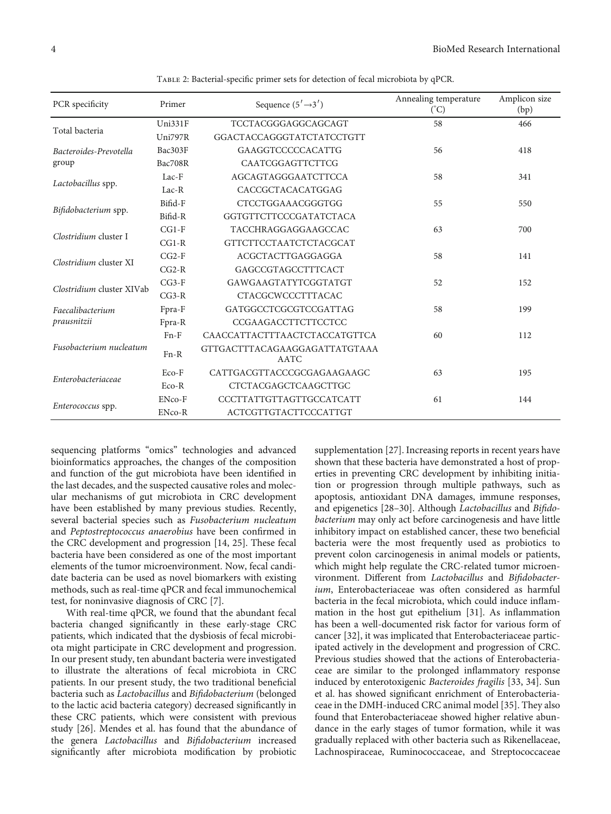<span id="page-3-0"></span>

| PCR specificity                 | Primer  | Sequence $(5' \rightarrow 3')$               | Annealing temperature<br>$({}^{\circ}C)$ |     |
|---------------------------------|---------|----------------------------------------------|------------------------------------------|-----|
| Total bacteria                  | Uni331F | TCCTACGGGAGGCAGCAGT                          | 58                                       | 466 |
|                                 | Uni797R | GGACTACCAGGGTATCTATCCTGTT                    |                                          |     |
| Bacteroides-Prevotella          | Bac303F | <b>GAAGGTCCCCCCACATTG</b>                    | 56                                       | 418 |
| group                           | Bac708R | <b>CAATCGGAGTTCTTCG</b>                      |                                          |     |
| Lactobacillus spp.              | $Lac-F$ | AGCAGTAGGGAATCTTCCA                          | 58                                       | 341 |
|                                 | $Lac-R$ | CACCGCTACACATGGAG                            |                                          |     |
| Bifidobacterium spp.            | Bifid-F | <b>CTCCTGGAAACGGGTGG</b>                     | 55                                       | 550 |
|                                 | Bifid-R | GGTGTTCTTCCCGATATCTACA                       |                                          |     |
| Clostridium cluster I           | $CG1-F$ | TACCHRAGGAGGAAGCCAC                          | 63                                       | 700 |
|                                 | $CG1-R$ | <b>GTTCTTCCTAATCTCTACGCAT</b>                |                                          |     |
| Clostridium cluster XI          | $CG2-F$ | ACGCTACTTGAGGAGGA                            | 58                                       | 141 |
|                                 | $CG2-R$ | GAGCCGTAGCCTTTCACT                           |                                          |     |
| Clostridium cluster XIVab       | $CG3-F$ | GAWGAAGTATYTCGGTATGT                         | 52                                       | 152 |
|                                 | $CG3-R$ | <b>CTACGCWCCCTTTACAC</b>                     |                                          |     |
| Faecalibacterium<br>prausnitzii | Fpra-F  | GATGGCCTCGCGTCCGATTAG                        | 58                                       | 199 |
|                                 | Fpra-R  | CCGAAGACCTTCTTCCTCC                          |                                          |     |
| Fusobacterium nucleatum         | $Fn-F$  | CAACCATTACTTTAACTCTACCATGTTCA                | 60                                       | 112 |
|                                 | $Fn-R$  | GTTGACTTTACAGAAGGAGATTATGTAAA<br><b>AATC</b> |                                          |     |
| Enterobacteriaceae              | Eco-F   | CATTGACGTTACCCGCGAGAAGAAGC                   | 63                                       | 195 |
|                                 | $Eco-R$ | <b>CTCTACGAGCTCAAGCTTGC</b>                  |                                          |     |
| Enterococcus spp.               | ENco-F  | CCCTTATTGTTAGTTGCCATCATT                     | 61                                       | 144 |
|                                 | ENco-R  | ACTCGTTGTACTTCCCATTGT                        |                                          |     |

Table 2: Bacterial-specific primer sets for detection of fecal microbiota by qPCR.

sequencing platforms "omics" technologies and advanced bioinformatics approaches, the changes of the composition and function of the gut microbiota have been identified in the last decades, and the suspected causative roles and molecular mechanisms of gut microbiota in CRC development have been established by many previous studies. Recently, several bacterial species such as Fusobacterium nucleatum and Peptostreptococcus anaerobius have been confirmed in the CRC development and progression [\[14](#page-6-0), [25\]](#page-6-0). These fecal bacteria have been considered as one of the most important elements of the tumor microenvironment. Now, fecal candidate bacteria can be used as novel biomarkers with existing methods, such as real-time qPCR and fecal immunochemical test, for noninvasive diagnosis of CRC [\[7](#page-6-0)].

With real-time qPCR, we found that the abundant fecal bacteria changed significantly in these early-stage CRC patients, which indicated that the dysbiosis of fecal microbiota might participate in CRC development and progression. In our present study, ten abundant bacteria were investigated to illustrate the alterations of fecal microbiota in CRC patients. In our present study, the two traditional beneficial bacteria such as Lactobacillus and Bifidobacterium (belonged to the lactic acid bacteria category) decreased significantly in these CRC patients, which were consistent with previous study [[26](#page-6-0)]. Mendes et al. has found that the abundance of the genera Lactobacillus and Bifidobacterium increased significantly after microbiota modification by probiotic

supplementation [[27](#page-6-0)]. Increasing reports in recent years have shown that these bacteria have demonstrated a host of properties in preventing CRC development by inhibiting initiation or progression through multiple pathways, such as apoptosis, antioxidant DNA damages, immune responses, and epigenetics [\[28](#page-6-0)–[30](#page-6-0)]. Although Lactobacillus and Bifidobacterium may only act before carcinogenesis and have little inhibitory impact on established cancer, these two beneficial bacteria were the most frequently used as probiotics to prevent colon carcinogenesis in animal models or patients, which might help regulate the CRC-related tumor microenvironment. Different from Lactobacillus and Bifidobacterium, Enterobacteriaceae was often considered as harmful bacteria in the fecal microbiota, which could induce inflammation in the host gut epithelium [[31\]](#page-6-0). As inflammation has been a well-documented risk factor for various form of cancer [[32](#page-6-0)], it was implicated that Enterobacteriaceae participated actively in the development and progression of CRC. Previous studies showed that the actions of Enterobacteriaceae are similar to the prolonged inflammatory response induced by enterotoxigenic Bacteroides fragilis [[33](#page-7-0), [34](#page-7-0)]. Sun et al. has showed significant enrichment of Enterobacteriaceae in the DMH-induced CRC animal model [\[35\]](#page-7-0). They also found that Enterobacteriaceae showed higher relative abundance in the early stages of tumor formation, while it was gradually replaced with other bacteria such as Rikenellaceae, Lachnospiraceae, Ruminococcaceae, and Streptococcaceae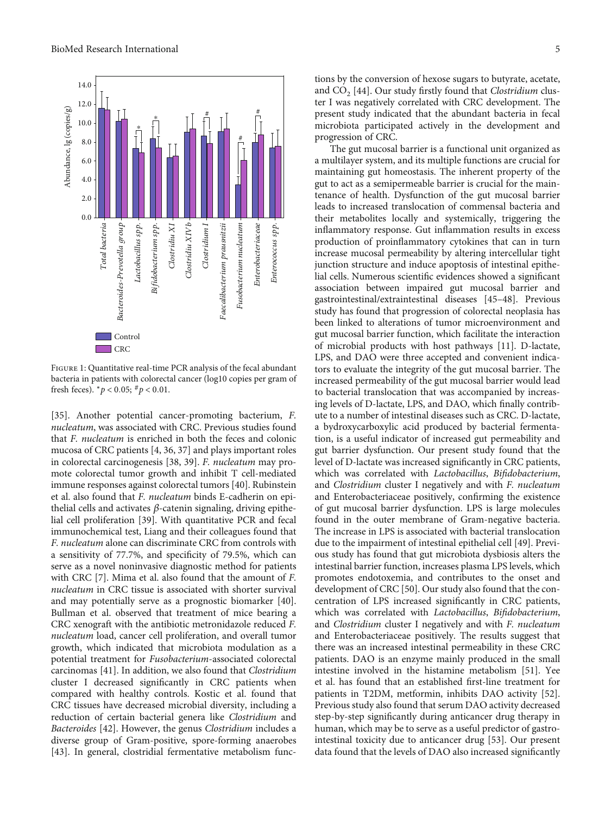<span id="page-4-0"></span>

Figure 1: Quantitative real-time PCR analysis of the fecal abundant bacteria in patients with colorectal cancer (log10 copies per gram of fresh feces).  $^{*}p$  < 0.05;  $^{#}p$  < 0.01.

[\[35](#page-7-0)]. Another potential cancer-promoting bacterium, F. nucleatum, was associated with CRC. Previous studies found that F. nucleatum is enriched in both the feces and colonic mucosa of CRC patients [\[4](#page-6-0), [36](#page-7-0), [37](#page-7-0)] and plays important roles in colorectal carcinogenesis [\[38, 39](#page-7-0)]. F. nucleatum may promote colorectal tumor growth and inhibit T cell-mediated immune responses against colorectal tumors [[40](#page-7-0)]. Rubinstein et al. also found that F. nucleatum binds E-cadherin on epithelial cells and activates *β*-catenin signaling, driving epithelial cell proliferation [\[39\]](#page-7-0). With quantitative PCR and fecal immunochemical test, Liang and their colleagues found that F. nucleatum alone can discriminate CRC from controls with a sensitivity of 77.7%, and specificity of 79.5%, which can serve as a novel noninvasive diagnostic method for patients with CRC [\[7](#page-6-0)]. Mima et al. also found that the amount of F. nucleatum in CRC tissue is associated with shorter survival and may potentially serve as a prognostic biomarker [[40](#page-7-0)]. Bullman et al. observed that treatment of mice bearing a CRC xenograft with the antibiotic metronidazole reduced F. nucleatum load, cancer cell proliferation, and overall tumor growth, which indicated that microbiota modulation as a potential treatment for Fusobacterium-associated colorectal carcinomas [\[41](#page-7-0)]. In addition, we also found that Clostridium cluster I decreased significantly in CRC patients when compared with healthy controls. Kostic et al. found that CRC tissues have decreased microbial diversity, including a reduction of certain bacterial genera like Clostridium and Bacteroides [[42\]](#page-7-0). However, the genus Clostridium includes a diverse group of Gram-positive, spore-forming anaerobes [\[43](#page-7-0)]. In general, clostridial fermentative metabolism func-

tions by the conversion of hexose sugars to butyrate, acetate, and  $CO<sub>2</sub>$  [\[44\]](#page-7-0). Our study firstly found that *Clostridium* cluster I was negatively correlated with CRC development. The present study indicated that the abundant bacteria in fecal microbiota participated actively in the development and progression of CRC.

The gut mucosal barrier is a functional unit organized as a multilayer system, and its multiple functions are crucial for maintaining gut homeostasis. The inherent property of the gut to act as a semipermeable barrier is crucial for the maintenance of health. Dysfunction of the gut mucosal barrier leads to increased translocation of commensal bacteria and their metabolites locally and systemically, triggering the inflammatory response. Gut inflammation results in excess production of proinflammatory cytokines that can in turn increase mucosal permeability by altering intercellular tight junction structure and induce apoptosis of intestinal epithelial cells. Numerous scientific evidences showed a significant association between impaired gut mucosal barrier and gastrointestinal/extraintestinal diseases [[45](#page-7-0)–[48\]](#page-7-0). Previous study has found that progression of colorectal neoplasia has been linked to alterations of tumor microenvironment and gut mucosal barrier function, which facilitate the interaction of microbial products with host pathways [[11](#page-6-0)]. D-lactate, LPS, and DAO were three accepted and convenient indicators to evaluate the integrity of the gut mucosal barrier. The increased permeability of the gut mucosal barrier would lead to bacterial translocation that was accompanied by increasing levels of D-lactate, LPS, and DAO, which finally contribute to a number of intestinal diseases such as CRC. D-lactate, a bydroxycarboxylic acid produced by bacterial fermentation, is a useful indicator of increased gut permeability and gut barrier dysfunction. Our present study found that the level of D-lactate was increased significantly in CRC patients, which was correlated with Lactobacillus, Bifidobacterium, and Clostridium cluster I negatively and with F. nucleatum and Enterobacteriaceae positively, confirming the existence of gut mucosal barrier dysfunction. LPS is large molecules found in the outer membrane of Gram-negative bacteria. The increase in LPS is associated with bacterial translocation due to the impairment of intestinal epithelial cell [\[49\]](#page-7-0). Previous study has found that gut microbiota dysbiosis alters the intestinal barrier function, increases plasma LPS levels, which promotes endotoxemia, and contributes to the onset and development of CRC [\[50\]](#page-7-0). Our study also found that the concentration of LPS increased significantly in CRC patients, which was correlated with Lactobacillus, Bifidobacterium, and Clostridium cluster I negatively and with F. nucleatum and Enterobacteriaceae positively. The results suggest that there was an increased intestinal permeability in these CRC patients. DAO is an enzyme mainly produced in the small intestine involved in the histamine metabolism [\[51](#page-7-0)]. Yee et al. has found that an established first-line treatment for patients in T2DM, metformin, inhibits DAO activity [[52](#page-7-0)]. Previous study also found that serum DAO activity decreased step-by-step significantly during anticancer drug therapy in human, which may be to serve as a useful predictor of gastrointestinal toxicity due to anticancer drug [\[53\]](#page-7-0). Our present data found that the levels of DAO also increased significantly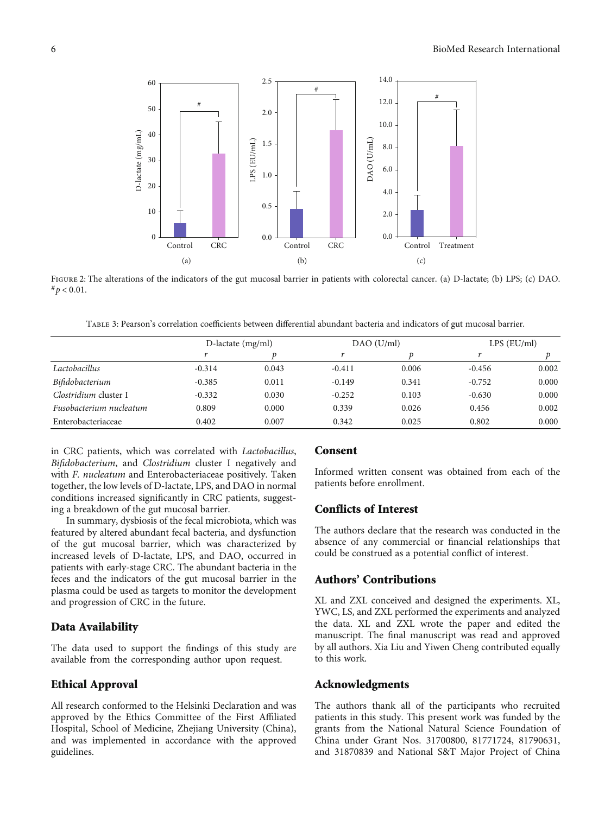<span id="page-5-0"></span>

FIGURE 2: The alterations of the indicators of the gut mucosal barrier in patients with colorectal cancer. (a) D-lactate; (b) LPS; (c) DAO.  $#p < 0.01.$ 

Table 3: Pearson's correlation coefficients between differential abundant bacteria and indicators of gut mucosal barrier.

|                         | D-lactate (mg/ml) |       | DAO (U/ml) |       | $LPS$ ( $EU/ml$ ) |       |
|-------------------------|-------------------|-------|------------|-------|-------------------|-------|
|                         |                   |       |            |       |                   |       |
| Lactobacillus           | $-0.314$          | 0.043 | $-0.411$   | 0.006 | $-0.456$          | 0.002 |
| Bifidobacterium         | $-0.385$          | 0.011 | $-0.149$   | 0.341 | $-0.752$          | 0.000 |
| Clostridium cluster I   | $-0.332$          | 0.030 | $-0.252$   | 0.103 | $-0.630$          | 0.000 |
| Fusobacterium nucleatum | 0.809             | 0.000 | 0.339      | 0.026 | 0.456             | 0.002 |
| Enterobacteriaceae      | 0.402             | 0.007 | 0.342      | 0.025 | 0.802             | 0.000 |

in CRC patients, which was correlated with Lactobacillus, Bifidobacterium, and Clostridium cluster I negatively and with *F. nucleatum* and Enterobacteriaceae positively. Taken together, the low levels of D-lactate, LPS, and DAO in normal conditions increased significantly in CRC patients, suggesting a breakdown of the gut mucosal barrier.

In summary, dysbiosis of the fecal microbiota, which was featured by altered abundant fecal bacteria, and dysfunction of the gut mucosal barrier, which was characterized by increased levels of D-lactate, LPS, and DAO, occurred in patients with early-stage CRC. The abundant bacteria in the feces and the indicators of the gut mucosal barrier in the plasma could be used as targets to monitor the development and progression of CRC in the future.

#### Data Availability

The data used to support the findings of this study are available from the corresponding author upon request.

## Ethical Approval

All research conformed to the Helsinki Declaration and was approved by the Ethics Committee of the First Affiliated Hospital, School of Medicine, Zhejiang University (China), and was implemented in accordance with the approved guidelines.

#### Consent

Informed written consent was obtained from each of the patients before enrollment.

# Conflicts of Interest

The authors declare that the research was conducted in the absence of any commercial or financial relationships that could be construed as a potential conflict of interest.

## Authors' Contributions

XL and ZXL conceived and designed the experiments. XL, YWC, LS, and ZXL performed the experiments and analyzed the data. XL and ZXL wrote the paper and edited the manuscript. The final manuscript was read and approved by all authors. Xia Liu and Yiwen Cheng contributed equally to this work.

# Acknowledgments

The authors thank all of the participants who recruited patients in this study. This present work was funded by the grants from the National Natural Science Foundation of China under Grant Nos. 31700800, 81771724, 81790631, and 31870839 and National S&T Major Project of China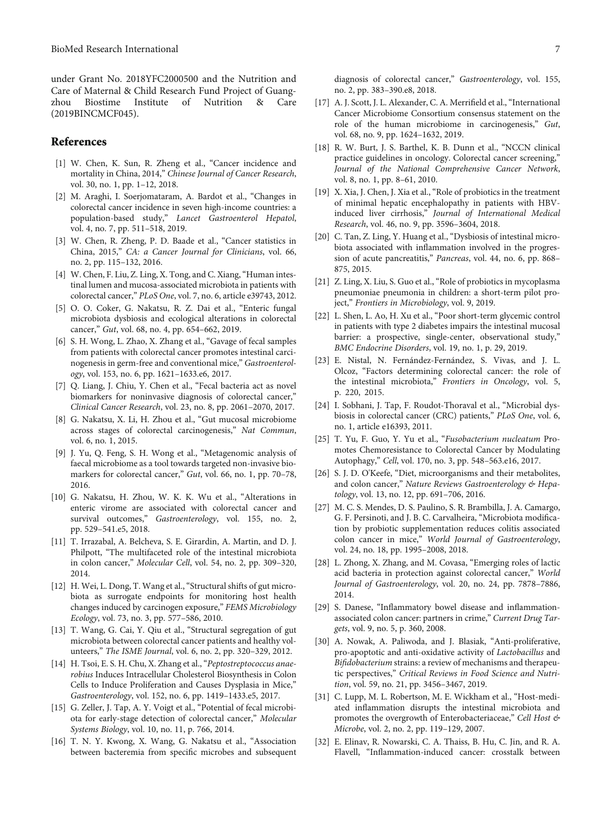<span id="page-6-0"></span>under Grant No. 2018YFC2000500 and the Nutrition and Care of Maternal & Child Research Fund Project of Guangzhou Biostime Institute of Nutrition & Care (2019BINCMCF045).

#### References

- [1] W. Chen, K. Sun, R. Zheng et al., "Cancer incidence and mortality in China, 2014," Chinese Journal of Cancer Research, vol. 30, no. 1, pp. 1–12, 2018.
- [2] M. Araghi, I. Soerjomataram, A. Bardot et al., "Changes in colorectal cancer incidence in seven high-income countries: a population-based study," Lancet Gastroenterol Hepatol, vol. 4, no. 7, pp. 511–518, 2019.
- [3] W. Chen, R. Zheng, P. D. Baade et al., "Cancer statistics in China, 2015," CA: a Cancer Journal for Clinicians, vol. 66, no. 2, pp. 115–132, 2016.
- [4] W. Chen, F. Liu, Z. Ling, X. Tong, and C. Xiang, "Human intestinal lumen and mucosa-associated microbiota in patients with colorectal cancer," PLoS One, vol. 7, no. 6, article e39743, 2012.
- [5] O. O. Coker, G. Nakatsu, R. Z. Dai et al., "Enteric fungal microbiota dysbiosis and ecological alterations in colorectal cancer," Gut, vol. 68, no. 4, pp. 654–662, 2019.
- [6] S. H. Wong, L. Zhao, X. Zhang et al., "Gavage of fecal samples from patients with colorectal cancer promotes intestinal carcinogenesis in germ-free and conventional mice," Gastroenterology, vol. 153, no. 6, pp. 1621–1633.e6, 2017.
- [7] Q. Liang, J. Chiu, Y. Chen et al., "Fecal bacteria act as novel biomarkers for noninvasive diagnosis of colorectal cancer," Clinical Cancer Research, vol. 23, no. 8, pp. 2061–2070, 2017.
- [8] G. Nakatsu, X. Li, H. Zhou et al., "Gut mucosal microbiome across stages of colorectal carcinogenesis," Nat Commun, vol. 6, no. 1, 2015.
- [9] J. Yu, Q. Feng, S. H. Wong et al., "Metagenomic analysis of faecal microbiome as a tool towards targeted non-invasive biomarkers for colorectal cancer," Gut, vol. 66, no. 1, pp. 70-78, 2016.
- [10] G. Nakatsu, H. Zhou, W. K. K. Wu et al., "Alterations in enteric virome are associated with colorectal cancer and survival outcomes," Gastroenterology, vol. 155, no. 2, pp. 529–541.e5, 2018.
- [11] T. Irrazabal, A. Belcheva, S. E. Girardin, A. Martin, and D. J. Philpott, "The multifaceted role of the intestinal microbiota in colon cancer," Molecular Cell, vol. 54, no. 2, pp. 309–320, 2014.
- [12] H. Wei, L. Dong, T. Wang et al., "Structural shifts of gut microbiota as surrogate endpoints for monitoring host health changes induced by carcinogen exposure," FEMS Microbiology Ecology, vol. 73, no. 3, pp. 577–586, 2010.
- [13] T. Wang, G. Cai, Y. Qiu et al., "Structural segregation of gut microbiota between colorectal cancer patients and healthy volunteers," The ISME Journal, vol. 6, no. 2, pp. 320–329, 2012.
- [14] H. Tsoi, E. S. H. Chu, X. Zhang et al., "Peptostreptococcus anaerobius Induces Intracellular Cholesterol Biosynthesis in Colon Cells to Induce Proliferation and Causes Dysplasia in Mice," Gastroenterology, vol. 152, no. 6, pp. 1419–1433.e5, 2017.
- [15] G. Zeller, J. Tap, A. Y. Voigt et al., "Potential of fecal microbiota for early-stage detection of colorectal cancer," Molecular Systems Biology, vol. 10, no. 11, p. 766, 2014.
- [16] T. N. Y. Kwong, X. Wang, G. Nakatsu et al., "Association between bacteremia from specific microbes and subsequent
- [17] A. J. Scott, J. L. Alexander, C. A. Merrifield et al., "International Cancer Microbiome Consortium consensus statement on the role of the human microbiome in carcinogenesis," Gut, vol. 68, no. 9, pp. 1624–1632, 2019.
- [18] R. W. Burt, J. S. Barthel, K. B. Dunn et al., "NCCN clinical practice guidelines in oncology. Colorectal cancer screening," Journal of the National Comprehensive Cancer Network, vol. 8, no. 1, pp. 8–61, 2010.
- [19] X. Xia, J. Chen, J. Xia et al., "Role of probiotics in the treatment of minimal hepatic encephalopathy in patients with HBVinduced liver cirrhosis," Journal of International Medical Research, vol. 46, no. 9, pp. 3596–3604, 2018.
- [20] C. Tan, Z. Ling, Y. Huang et al., "Dysbiosis of intestinal microbiota associated with inflammation involved in the progression of acute pancreatitis," Pancreas, vol. 44, no. 6, pp. 868– 875, 2015.
- [21] Z. Ling, X. Liu, S. Guo et al., "Role of probiotics in mycoplasma pneumoniae pneumonia in children: a short-term pilot project," Frontiers in Microbiology, vol. 9, 2019.
- [22] L. Shen, L. Ao, H. Xu et al., "Poor short-term glycemic control in patients with type 2 diabetes impairs the intestinal mucosal barrier: a prospective, single-center, observational study," BMC Endocrine Disorders, vol. 19, no. 1, p. 29, 2019.
- [23] E. Nistal, N. Fernández-Fernández, S. Vivas, and J. L. Olcoz, "Factors determining colorectal cancer: the role of the intestinal microbiota," Frontiers in Oncology, vol. 5, p. 220, 2015.
- [24] I. Sobhani, J. Tap, F. Roudot-Thoraval et al., "Microbial dysbiosis in colorectal cancer (CRC) patients," PLoS One, vol. 6, no. 1, article e16393, 2011.
- [25] T. Yu, F. Guo, Y. Yu et al., "Fusobacterium nucleatum Promotes Chemoresistance to Colorectal Cancer by Modulating Autophagy," Cell, vol. 170, no. 3, pp. 548–563.e16, 2017.
- [26] S. J. D. O'Keefe, "Diet, microorganisms and their metabolites, and colon cancer," Nature Reviews Gastroenterology & Hepatology, vol. 13, no. 12, pp. 691–706, 2016.
- [27] M. C. S. Mendes, D. S. Paulino, S. R. Brambilla, J. A. Camargo, G. F. Persinoti, and J. B. C. Carvalheira, "Microbiota modification by probiotic supplementation reduces colitis associated colon cancer in mice," World Journal of Gastroenterology, vol. 24, no. 18, pp. 1995–2008, 2018.
- [28] L. Zhong, X. Zhang, and M. Covasa, "Emerging roles of lactic acid bacteria in protection against colorectal cancer," World Journal of Gastroenterology, vol. 20, no. 24, pp. 7878–7886, 2014.
- [29] S. Danese, "Inflammatory bowel disease and inflammationassociated colon cancer: partners in crime," Current Drug Targets, vol. 9, no. 5, p. 360, 2008.
- [30] A. Nowak, A. Paliwoda, and J. Blasiak, "Anti-proliferative, pro-apoptotic and anti-oxidative activity of Lactobacillus and Bifidobacterium strains: a review of mechanisms and therapeutic perspectives," Critical Reviews in Food Science and Nutrition, vol. 59, no. 21, pp. 3456–3467, 2019.
- [31] C. Lupp, M. L. Robertson, M. E. Wickham et al., "Host-mediated inflammation disrupts the intestinal microbiota and promotes the overgrowth of Enterobacteriaceae," Cell Host & Microbe, vol. 2, no. 2, pp. 119–129, 2007.
- [32] E. Elinav, R. Nowarski, C. A. Thaiss, B. Hu, C. Jin, and R. A. Flavell, "Inflammation-induced cancer: crosstalk between